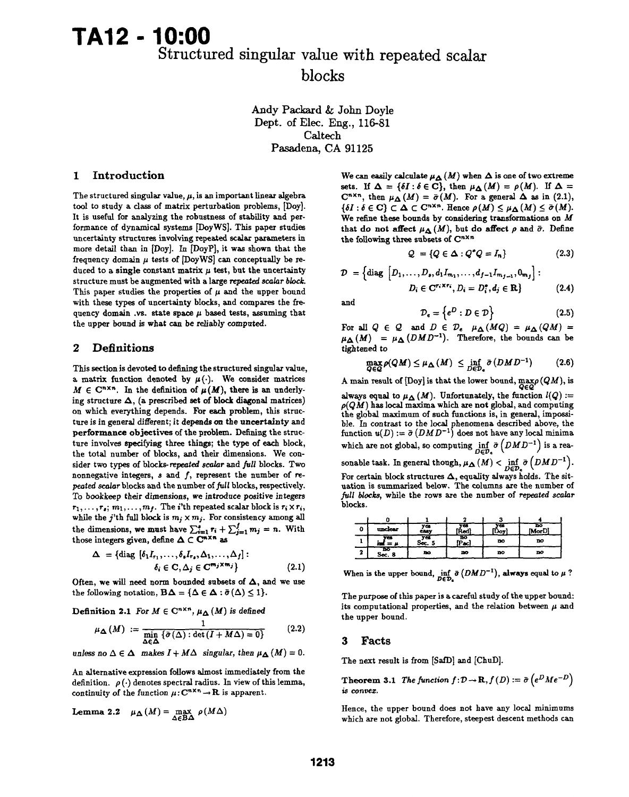Andy Packard & John Doyle Dept. of Elee. Eng., 116-81 Caltech Pasadena, CA 91125

## 1 Introduction

The structured singular value,  $\mu$ , is an important linear algebra tool to study a class of matrix perturbation problems, [Doy). It is useful for analyzing the robustness of stability and performance of dynamical systems [DoyWS]. This paper studies uncertainty structures involving repeated scalar parameters in more detail than in [Doy]. In [Doy?], it was shown that the frequency domain  $\mu$  tests of [DoyWS] can conceptually be reduced to a single constant matrix  $\mu$  test, but the uncertainty structure must be augmented with a large repeated scalar block. This paper studies the properties of  $\mu$  and the upper bound with these types of uncertainty blocks, and compares the frequency domain .vs. state space  $\mu$  based tests, assuming that the upper bound is what can be reliably computed.

# 2 Definitions

This section is devoted to defining the structured singular value, a matrix function denoted by  $\mu(\cdot)$ . We consider matrices  $M \in \mathbb{C}^{n \times n}$ . In the definition of  $\mu(M)$ , there is an underlying structure  $\Delta$ , (a prescribed set of block diagonal matrices) on which everything depends. For each problem, this structure is in general different; it depends on the uncertainty and performance objectives of the problem. Defining the structure involves specifying three things; the type of each block, the total number of blocks, and their dimensions. We consider two types of blocks-repeated scalar and full blocks. Two nonnegative integers,  $s$  and  $f$ , represent the number of repeated scaler blocks and the number of full blocks, respectively. To bookkeep their dimensions, we introduce positive integers  $r_1, \ldots, r_s; m_1, \ldots, m_f$ . The *i*'th repeated scalar block is  $r_i \times r_i$ , while the j'th full block is  $m_j \times m_j$ . For consistency among all the dimensions, we must have  $\sum_{i=1}^{i} r_i + \sum_{j=1}^{f} m_j = n$ . With those integers given, define  $\Delta \subset \mathbb{C}^{n \times n}$  as

$$
\Delta = \{ \text{diag} \left[ \delta_1 I_{r_1}, \dots, \delta_s I_{r_s}, \Delta_1, \dots, \Delta_f \right] : \\ \delta_i \in \mathbf{C}, \Delta_j \in \mathbf{C}^{m_j \times m_j} \}
$$
 (2.1)

Often, we will need norm bounded subsets of  $\Delta$ , and we use the following notation,  $\mathbf{B}\mathbf{\Delta} = {\mathbf{\Delta} \in \mathbf{\Delta} : \bar{\sigma}(\Delta) \leq 1}.$ 

**Definition 2.1** For 
$$
M \in C^{n \times n}
$$
,  $\mu_{\Delta}(M)$  is defined  
\n
$$
\mu_{\Delta}(M) := \frac{1}{\min_{\Delta \in \Delta} \{ \bar{\sigma}(\Delta) : \det(I + M\Delta) = 0 \}}
$$
\n(2.2)

unless no  $\Delta \in \Delta$  makes  $I + M\Delta$  singular, then  $\mu_{\Delta}(M) = 0$ .

An alternative expression follows almost immediately from the definition.  $\rho(\cdot)$  denotes spectral radius. In view of this lemma, continuity of the function  $\mu: \mathbf{C}^{n \times n} \to \mathbf{R}$  is apparent.

Lemma 2.2  $\mu_{\Delta}(M) = \max_{\Delta \in \mathbf{BA}} \rho(M\Delta)$ 

We can easily calculate  $\mu_{\mathbf{\Delta}}(M)$  when  $\mathbf{\Delta}$  is one of two extreme sets. If  $\Delta = {\delta I : \delta \in \mathbf{C}}$ , then  $\mu_{\Delta}(M) = \rho(M)$ . If  $\Delta =$  $C^{n \times n}$ , then  $\mu_{\Delta}(M) = \bar{\sigma}(M)$ . For a general  $\Delta$  as in (2.1),  $\{\delta I: \delta \in \mathbf{C}\} \subset \Delta \subset \mathbf{C}^{n \times n}$ . Hence  $\rho(M) \leq \mu_{\Delta}(M) \leq \bar{\sigma}(M)$ . We refine these bounds by considering transformations on M that do not affect  $\mu_{\Delta}(M)$ , but do affect  $\rho$  and  $\bar{\sigma}$ . Define the following three subsets of  $C^{n\times n}$ 

$$
Q = \{Q \in \Delta : Q^*Q = I_n\}
$$
 (2.3)

$$
\mathcal{D} = \left\{ \text{diag} \left[ D_1, \dots, D_s, d_1 I_{m_1}, \dots, d_{f-1} I_{m_{f-1}}, 0_{m_f} \right] : \right. \\ D_i \in \mathbf{C}^{r_i \times r_i}, D_i = D_i^*, d_j \in \mathbf{R} \right\} \tag{2.4}
$$

and

tightened to

 $\mathcal{D}_e = \{e^D : D \in \mathcal{D}\}\$  (2.5) For all  $Q \in Q$  and  $D \in \mathcal{D}_e$   $\mu_{\Delta}(MQ) = \mu_{\Delta}(QM) =$  $\mu_{\Delta}(M) = \mu_{\Delta}(DMD^{-1})$ . Therefore, the bounds can be

$$
\max_{Q\in\mathcal{Q}}\rho(QM)\leq\mu_{\mathbf{\Delta}}(M)\leq\inf_{D\in\mathcal{D}_{e}}\bar{\sigma}(DMD^{-1})\qquad(2.6)
$$

A main result of  $[$ Doy] is that the lower bound,  $\underset{Q \in \mathcal{Q}}{\max}$  ( $QM$ ), is

always equal to  $\mu_{\Delta}(M)$ . Unfortunately, the function  $l(Q)$  :=  $\rho(QM)$  has local maxima which are not global, and computing the global maximum of such functions is, in general, impossible. In contrast to the local phenomena described above, the function  $u(D) := \bar{\sigma}(DMD^{-1})$  does not have any local minima which are not global, so computing  $\inf_{D \in \mathcal{D}_e} \bar{\sigma} \left(DMD^{-1}\right)$  is a reasonable task. In general though,  $\mu_{\Delta}(M) < \inf_{D \in \mathcal{D}_e} \bar{\sigma}(DMD^{-1}).$ For certain block structures  $\Delta$ , equality always holds. The situation is summarized below. The columns are the number of full blocks, while the rows are the number of repeated scalar blocks.

| o | unclear      | $\frac{y}{y}$ | Red            | ve.<br>Dov | $\frac{10}{[MorD]}$ |
|---|--------------|---------------|----------------|------------|---------------------|
|   | ves.         | ycs           | no<br>$P_{AC}$ | <b>DO</b>  | no                  |
| ٠ | ħσ<br>Sec. 8 | mo            | mo             | no         | <b>DO</b>           |

When is the upper bound, inf  $\bar{\sigma}$  (DMD<sup>-1</sup>), always equal to  $\mu$ ?

The purpose of this paper is a careful study of the uppex bound: its computational properties, and the relation between  $\mu$  and the upper bound.

## 3 Facts

The next result is from [SafD] and [ChuD].

Theorem 3.1 The function  $f: \mathcal{D} \to \mathbf{R}$ ,  $f(D) := \bar{\sigma} \left( e^D M e^{-D} \right)$ is convex.

Hence, the upper bound does not have any local minimums which are not global. Therefore, steepest descent methods can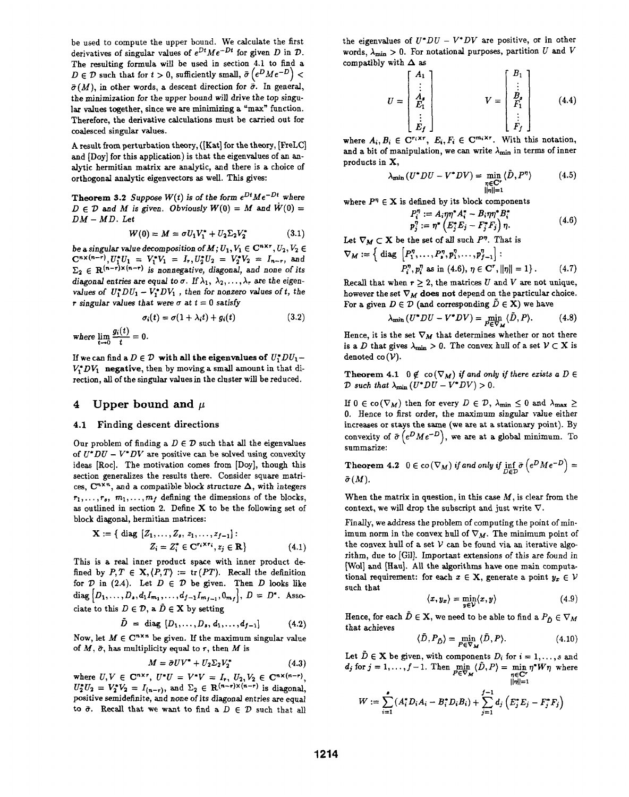be used to compute the upper bound. We calculate the first derivatives of singular values of  $e^{Dt}Me^{-Dt}$  for given D in D. The resulting formula will be used in section 4.1 to find a  $D \in \mathcal{D}$  such that for  $t > 0$ , sufficiently small,  $\bar{\sigma} \left( e^D M e^{-D} \right)$  $\bar{\sigma}(M)$ , in other words, a descent direction for  $\bar{\sigma}$ . In general, the minimization for the upper bound will drive the top singular values together, since we are minimizing a "max" function. Therefore, the derivative calculations must be carried out for coalesced singular values.

A result from perturbation theory, ([Kat] for the theory, [FreLC] and [Doy] for this application) is that the eigenvalues of an analytic hermitian matrix are analytic, and there is a choice of orthogonal analytic eigenvectors as well. This gives:

Theorem 3.2 Suppose  $W(t)$  is of the form  $e^{Dt}Me^{-Dt}$  where  $D \in \mathcal{D}$  and M is given. Obviously  $W(0) = M$  and  $\dot{W}(0) =$  $DM - MD$ . Let

$$
W(0) = M = \sigma U_1 V_1^* + U_2 \Sigma_2 V_2^* \tag{3.1}
$$

be a singular value decomposition of  $M; U_1, V_1 \in \mathbb{C}^{n \times r}, U_2, V_2 \in$  $C^{n \times (n-r)}, U_1^*U_1 = V_1^*V_1 = I_r, U_2^*U_2 = V_2^*V_2 = I_{n-r}$ , and  $\Sigma_2 \in \mathbb{R}^{(n-r)\times(n-r)}$  is nonnegative, diagonal, and none of its diagonal entries are equal to  $\sigma$ . If  $\lambda_1, \lambda_2, \ldots, \lambda_r$  are the eigenvalues of  $U_1^*DU_1 - V_1^*DV_1$ , then for nonzero values of t, the r singular values that were  $\sigma$  at  $t = 0$  satisfy

$$
\sigma_i(t) = \sigma(1 + \lambda_i t) + g_i(t) \tag{3.2}
$$

where  $\lim_{t\to 0}\frac{g_i(t)}{t} = 0.$ 

If we can find a  $D \in \mathcal{D}$  with all the eigenvalues of  $U_1^* D U_1$ - $V^* D V_1$  negative, then by moving a small amount in that direction, all of the singular values in the cluster will be reduced.

# 4 Upper bound and  $\mu$

### 4.1 Finding descent directions

Our problem of finding a  $D \in \mathcal{D}$  such that all the eigenvalues of  $U^*DU - V^*DV$  are positive can be solved using convexity ideas [Roc]. The motivation comes from [Doy], though this section generalizes the results there. Consider square matrices,  $C^{n \times n}$ , and a compatible block structure  $\Delta$ , with integers  $r_1, \ldots, r_s, m_1, \ldots, m_f$  defining the dimensions of the blocks, as outlined in section 2. Define  $X$  to be the following set of block diagonal, hermitian matrices:

$$
\mathbf{X} := \{ \text{ diag } [Z_1, \dots, Z_s, z_1, \dots, z_{f-1}] : \\ Z_i = Z_i^* \in \mathbf{C}^{r_i \times r_i}, z_j \in \mathbf{R} \}
$$
(4.1)

This is a real inner product space with inner product defined by  $P, T \in \mathbf{X}, \langle P, T \rangle := \text{tr}(PT)$ . Recall the definition for  $D$  in (2.4). Let  $D \in D$  be given. Then  $D$  looks like diag  $[D_1, \ldots, D_s, d_1 I_{m_1}, \ldots, d_{f-1} I_{m_{f-1}}, 0_{m_f}], D = D^*$ . Associate to this  $D \in \mathcal{D}$ , a  $\tilde{D} \in \mathbf{X}$  by setting

$$
\tilde{D} = \text{diag } [D_1, \ldots, D_s, d_1, \ldots, d_{f-1}] \tag{4.2}
$$

Now, let  $M \in \mathbb{C}^{n \times n}$  be given. If the maximum singular value of  $M$ ,  $\bar{\sigma}$ , has multiplicity equal to  $r$ , then  $M$  is

$$
M = \bar{\sigma}UV^* + U_2\Sigma_2V_2^* \tag{4.3}
$$

where  $U, V \in \mathbb{C}^{n \times r}$ ,  $U^*U = V^*V = I_r$ ,  $U_2, V_2 \in \mathbb{C}^{n \times (n-r)}$ .  $U_2^*U_2 = V_2^*V_2 = I_{(n-r)}$ , and  $\Sigma_2 \in \mathbb{R}^{(n-r)\times(n-r)}$  is diagonal, positive semidefinite, and none of its diagonal entries are equal to  $\bar{\sigma}$ . Recall that we want to find a  $D \in \mathcal{D}$  such that all

the eigenvalues of  $U^*DU - V^*DV$  are positive, or in other words,  $\lambda_{\min} > 0$ . For notational purposes, partition U and V compatibly with  $\Delta$  as

$$
U = \begin{bmatrix} A_1 \\ \vdots \\ A_s \\ E_1 \\ \vdots \\ E_f \end{bmatrix} \qquad \qquad V = \begin{bmatrix} B_1 \\ \vdots \\ B_s \\ F_1 \\ \vdots \\ F_f \end{bmatrix} \qquad (4.4)
$$

where  $A_i, B_i \in \mathbb{C}^{r_i \times r}$ ,  $E_i, F_i \in \mathbb{C}^{m_i \times r}$ . With this notation, and a bit of manipulation, we can write  $\lambda_{\text{min}}$  in terms of inner products in X,

$$
\lambda_{\min}(U^*DU - V^*DV) = \min_{\substack{\eta \in \mathcal{C}^r \\ \|\eta\|=1}} \langle \tilde{D}, P^{\eta} \rangle \tag{4.5}
$$

where  $P^{\eta} \in \mathbf{X}$  is defined by its block components

$$
P_i^n := A_i \eta \eta^* A_i^* - B_i \eta \eta^* B_i^*
$$
  
\n
$$
p_j^n := \eta^* \left( E_j^* E_j - F_j^* F_j \right) \eta.
$$
\n(4.6)

Let  $\nabla_M \subset \mathbf{X}$  be the set of all such  $P^n$ . That is

$$
\nabla_M := \left\{ \text{ diag } \left[ P_1^n, \dots, P_s^n, p_1^n, \dots, p_{j-1}^n \right] : \\ P_i^n, p_i^n \text{ as in (4.6), } \eta \in \mathbf{C}^r, ||\eta|| = 1 \right\}. \tag{4.7}
$$

Recall that when  $r \geq 2$ , the matrices U and V are not unique, however the set  $\nabla_M$  does not depend on the particular choice. For a given  $D \in \mathcal{D}$  (and corresponding  $\bar{D} \in \mathbf{X}$ ) we have

$$
\lambda_{\min}(U^*DU-V^*DV) = \min_{P \in \nabla_M} \langle \tilde{D}, P \rangle. \tag{4.8}
$$

Hence, it is the set  $\nabla_M$  that determines whether or not there is a D that gives  $\lambda_{\min} > 0$ . The convex hull of a set  $V \subset X$  is denoted  $co(V)$ .

Theorem 4.1  $0 \notin \mathcal{O}(\nabla_M)$  if and only if there exists a  $D \in$ D such that  $\lambda_{\min} (U^*DU - V^*DV) > 0$ .

If  $0 \in \text{co}(\nabla_M)$  then for every  $D \in \mathcal{D}$ ,  $\lambda_{\text{min}} \leq 0$  and  $\lambda_{\text{max}} \geq$ 0. Hence to first order, the maximum singular value either increases or stays the same (we are at a stationary point). By convexity of  $\bar{\sigma}$  ( $e^{D}Me^{-D}$ ), we are at a global minimum. To summarize:

Theorem 4.2  $0 \in \text{co}(\nabla_M)$  if and only if  $\inf_{D \in \mathcal{D}} \sigma(e^D M e^{-D}) =$  $\bar{\sigma}(M)$ .

When the matrix in question, in this case  $M$ , is clear from the context, we will drop the subscript and just write  $\nabla$ .

Finally, we address the problem of computing the point of minimum norm in the convex hull of  $\nabla_M$ . The minimum point of the convex hull of a set  $V$  can be found via an iterative algorithm, due to [Gil]. Important extensions of this are found in [Wol] and [Hau]. All the algorithms have one main computational requirement: for each  $x \in X$ , generate a point  $y_x \in V$ such that

$$
\langle x, y_x \rangle = \min_{y \in \mathcal{V}} \langle x, y \rangle \tag{4.9}
$$

Hence, for each  $\tilde{D} \in \mathbf{X}$ , we need to be able to find a  $P_{\tilde{D}} \in \nabla_M$ that achieves

$$
\langle \bar{D}, P_{\tilde{D}} \rangle = \min_{P \in \nabla_{\mathcal{M}}} \langle \tilde{D}, P \rangle.
$$
 (4.10)

Let  $\tilde{D} \in \mathbf{X}$  be given, with components  $D_i$  for  $i = 1, \ldots, s$  and  $d_j$  for  $j = 1, ..., f-1$ . Then  $\min_{P \in \nabla_M} \langle \tilde{D}, P \rangle = \min_{\eta \in \mathbf{C}^r} \eta^*W\eta$  where

$$
W := \sum_{i=1}^{s} (A_i^* D_i A_i - B_i^* D_i B_i) + \sum_{j=1}^{f-1} d_j \left( E_j^* E_j - F_j^* F_j \right)
$$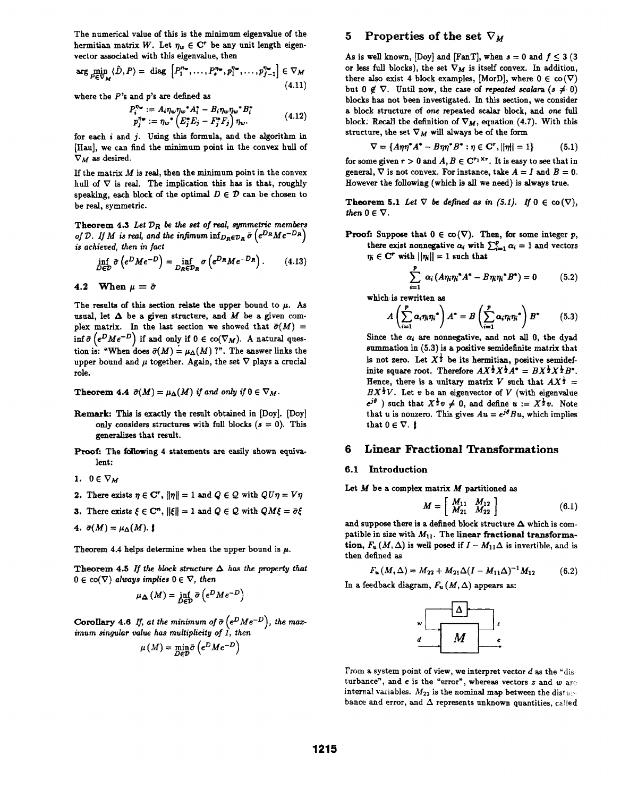The numerical value of this is the minimum eigenvalue of the hermitian matrix W. Let  $\eta_w \in C^r$  be any unit length eigenvector associated with this eigenvalue, then

$$
\arg\min_{P\in\nabla_M} \langle \tilde{D}, P \rangle = \text{ diag }\left[P_1^{\eta_{\bullet}}, \dots, P_s^{\eta_{\bullet}}, p_1^{\eta_{\bullet}}, \dots, p_{j-1}^{\eta_{\bullet}}\right] \in \nabla_M
$$
\n(4.11)

where the  $P$ 's and  $p$ 's are defined as

$$
P_i^{n_w} := A_i \eta_w \eta_w^* A_i^* - B_i \eta_w \eta_w^* B_i^* \np_j^{n_w} := \eta_w^* \left( E_j^* E_j - F_j^* F_j \right) \eta_w.
$$
\n(4.12)

for each <sup>i</sup> and j. Using this formula, and the algorithm in [Hau], we can find the minimum point in the convex hull of  $\nabla_M$  as desired.

If the matrix  $M$  is real, then the minimum point in the convex hull of  $\nabla$  is real. The implication this has is that, roughly speaking, each block of the optimal  $D \in \mathcal{D}$  can be chosen to be real, symmetric.

Theorem 4.3 Let  $\mathcal{D}_R$  be the set of real, symmetric members of D. If M is real, and the infimum  $inf_{D_R \in \mathcal{D}_R} \bar{\sigma} (e^{D_R}Me^{-D_R})$ is achieved, then in fact

$$
\inf_{D \in \mathcal{D}} \bar{\sigma} \left( e^{D} M e^{-D} \right) = \inf_{D_R \in \mathcal{D}_R} \bar{\sigma} \left( e^{D_R} M e^{-D_R} \right). \tag{4.13}
$$

4.2 When 
$$
\mu = \bar{\sigma}
$$

The results of this section relate the upper bound to  $\mu$ . As usual, let  $\Delta$  be a given structure, and M be a given complex matrix. In the last section we showed that  $\bar{\sigma}(M)$  = inf  $\bar{\sigma}$   $(e^DMe^{-D})$  if and only if  $0 \in \text{co}(\nabla_M)$ . A natural question is: "When does  $\bar{\sigma}(M) = \mu_{\Delta}(M)$ ?". The answer links the upper bound and  $\mu$  together. Again, the set  $\nabla$  plays a crucial role.

Theorem 4.4  $\bar{\sigma}(M) = \mu_{\Delta}(M)$  if and only if  $0 \in \nabla_M$ .

- Remark: This is exactly the result obtained in [Doy]. [Doy] only considers structures with full blocks  $(s = 0)$ . This generalizes that result.
- Proof: The following 4 statements are easily shown equivalent:
- 1.  $0 \in \nabla_M$
- 2. There exists  $\eta \in \mathbb{C}^r$ ,  $\|\eta\|=1$  and  $Q \in \mathcal{Q}$  with  $QU\eta = V\eta$
- 3. There exists  $\xi \in \mathbb{C}^n$ ,  $||\xi|| = 1$  and  $Q \in \mathcal{Q}$  with  $QM\xi = \bar{\sigma}\xi$

$$
4. \ \bar{\sigma}(M) = \mu_{\Delta}(M). \ \ \Leftrightarrow
$$

Theorem 4.4 helps determine when the upper bound is  $\mu$ .

Theorem 4.5 If the block structure  $\Delta$  has the property that  $0 \in \text{co}(\nabla)$  always implies  $0 \in \nabla$ , then

$$
\mu_{\Delta}(M) = \inf_{D \in \mathcal{D}} \bar{\sigma}\left(e^D M e^{-D}\right)
$$

Corollary 4.6 If, at the minimum of  $\bar{\sigma}$  ( $e^{D}Me^{-D}$ ), the maximum singular value has multiplicity of  $\hat{I}$ , then

$$
\mu(M) = \min_{D \in \mathcal{D}} \bar{\sigma} \left( e^D M e^{-D} \right)
$$

# 5 Properties of the set  $\nabla_M$

As is well known, [Doy] and [FanT], when  $s = 0$  and  $f \leq 3$  (3) or less full blocks), the set  $\nabla_M$  is itself convex. In addition, there also exist 4 block examples, [MorD], where  $0 \in \text{co}(\nabla)$ but  $0 \notin \nabla$ . Until now, the case of repeated scalara  $(s \neq 0)$ blocks has not been investigated. In this section, we consider a block structure of one repeated scalar block, and one ful block. Recall the definition of  $\nabla_M$ , equation (4.7). With this structure, the set  $\nabla_M$  will always be of the form

$$
\nabla = \{A\eta\eta^*A^* - B\eta\eta^*B^* : \eta \in \mathbf{C}^r, ||\eta|| = 1\}
$$
 (5.1)

for some given  $r > 0$  and  $A, B \in \mathbb{C}^{r_1 \times r}$ . It is easy to see that in general,  $\nabla$  is not convex. For instance, take  $A = I$  and  $B = 0$ . However the following (which is all we need) is always true.

Theorem 5.1 Let  $\nabla$  be defined as in (5.1). If  $0 \in \text{co}(\nabla)$ , then  $0 \in \nabla$ .

**Proof:** Suppose that  $0 \in \text{co}(\nabla)$ . Then, for some integer p, there exist nonnegative  $\alpha_i$  with  $\sum_{i=1}^{p} \alpha_i = 1$  and vectors  $\eta_i \in \mathbf{C}^r$  with  $||\eta_i|| = 1$  such that

$$
\sum_{i=1}^{p} \alpha_{i} (A \eta_{i} \eta_{i}^{*} A^{*} - B \eta_{i} \eta_{i}^{*} B^{*}) = 0 \qquad (5.2)
$$

which is rewritten as

$$
A\left(\sum_{i=1}^p \alpha_i \eta_i \eta_i^*\right) A^* = B\left(\sum_{i=1}^p \alpha_i \eta_i \eta_i^*\right) B^* \qquad (5.3)
$$

Since the  $\alpha_i$  are nonnegative, and not all 0, the dyad summation in (5.3) is a positive semidefinite matrix that is not zero. Let  $X^{\frac{1}{2}}$  be its hermitian, positive semidefinite square root. Therefore  $AX^{\frac{1}{2}}X^{\frac{1}{2}}A^* = BX^{\frac{1}{2}}X^{\frac{1}{2}}B^*$ . Hence, there is a unitary matrix V such that  $AX^{\frac{1}{2}} =$  $BX^{\frac{1}{2}}V$ . Let v be an eigenvector of V (with eigenvalue  $e^{j\theta}$  ) such that  $X^{\frac{1}{2}}v \neq 0$ , and define  $u := X^{\frac{1}{2}}v$ . Note that u is nonzero. This gives  $Au = e^{j\theta}Bu$ , which implies that  $0 \in \nabla$ .

### 6 Linear Fractional fransformations

#### 6.1 Introduction

Let  $M$  be a complex matrix  $M$  partitioned as

$$
M = \left[ \begin{array}{cc} M_{11} & M_{12} \\ M_{21} & M_{22} \end{array} \right] \tag{6.1}
$$

and suppose there is a defined block structure  $\Delta$  which is compatible in size with  $M_{11}$ . The linear fractional transformation,  $F_u(M, \Delta)$  is well posed if  $I - M_{11}\Delta$  is invertible, and is then defined as

$$
F_u(M,\Delta) = M_{22} + M_{21}\Delta(I - M_{11}\Delta)^{-1}M_{12}
$$
 (6.2)

In a feedback diagram,  $F_u(M, \Delta)$  appears as:



From a system point of view, we interpret vector  $d$  as the "disturbance", and  $e$  is the "error", whereas vectors  $z$  and  $w$  are internal variables.  $M_{22}$  is the nominal map between the distagbance and error, and  $\Delta$  represents unknown quantities, called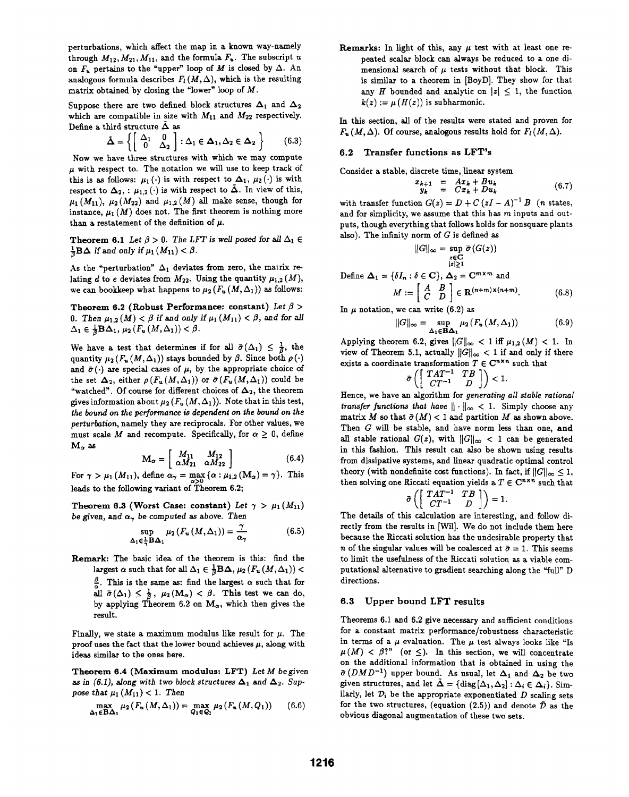perturbations, which affect the map in a known way-namely through  $M_{12}, M_{21}, M_{11}$ , and the formula  $F_u$ . The subscript u on  $F_u$  pertains to the "upper" loop of M is closed by  $\Delta$ . An analogous formula describes  $F_i(M, \Delta)$ , which is the resulting matrix obtained by closing the "lower" loop of  $M$ .

Suppose there are two defined block structures  $\Delta_1$  and  $\Delta_2$ which are compatible in size with  $M_{11}$  and  $M_{22}$  respectively. Define a third structure  $\tilde{\Delta}$  as

$$
\tilde{\Delta} = \left\{ \left[ \begin{array}{cc} \Delta_1 & 0 \\ 0 & \Delta_2 \end{array} \right] : \Delta_1 \in \Delta_1, \Delta_2 \in \Delta_2 \right\} \tag{6.3}
$$

Now we have three structures with which we may compute  $\mu$  with respect to. The notation we will use to keep track of this is as follows:  $\mu_1(\cdot)$  is with respect to  $\Delta_1$ ,  $\mu_2(\cdot)$  is with respect to  $\Delta_2$ , :  $\mu_{1,2}(\cdot)$  is with respect to  $\tilde{\Delta}$ . In view of this,  $\mu_1(M_{11}), \mu_2(M_{22})$  and  $\mu_{1,2}(M)$  all make sense, though for instance,  $\mu_1(M)$  does not. The first theorem is nothing more than a restatement of the definition of  $\mu$ .

Theorem 6.1 Let  $\beta > 0$ . The LFT is well posed for all  $\Delta_1 \in$  $\frac{1}{6}B\Delta$  if and only if  $\mu_1(M_{11}) < \beta$ .

As the "perturbation"  $\Delta_1$  deviates from zero, the matrix relating d to e deviates from  $M_{22}$ . Using the quantity  $\mu_{1,2}(M)$ , we can bookkeep what happens to  $\mu_2(F_u(M, \Delta_1))$  as follows:

Theorem 6.2 (Robust Performance: constant) Let  $\beta$  > 0. Then  $\mu_{1,2}(M) < \beta$  if and only if  $\mu_1(M_{11}) < \beta$ , and for all  $\Delta_1 \in \frac{1}{\beta} \mathbf{B} \Delta_1, \, \mu_2 \left( F_u \left( M, \Delta_1 \right) \right) < \beta.$ 

We have a test that determines if for all  $\bar{\sigma}(\Delta_1) \leq \frac{1}{8}$ , the quantity  $\mu_2$  ( $F_u$  (M,  $\Delta_1$ )) stays bounded by  $\beta$ . Since both  $\rho(\cdot)$ and  $\bar{\sigma}(\cdot)$  are special cases of  $\mu$ , by the appropriate choice of the set  $\Delta_2$ , either  $\rho(F_u(M,\Delta_1))$  or  $\bar{\sigma}(F_u(M,\Delta_1))$  could be "watched". Of course for different choices of  $\Delta_2$ , the theorem gives information about  $\mu_2$  ( $F_u(M, \Delta_1)$ ). Note that in this test, the bound on the performance is dependent on the bound on the perturbation, namely they are reciprocals. For other values, we must scale M and recompute. Specifically, for  $\alpha \geq 0$ , define  $M_{\alpha}$  as

$$
\mathbf{M}_{\alpha} = \left[ \begin{array}{cc} M_{11} & M_{12} \\ \alpha M_{21} & \alpha M_{22} \end{array} \right] \tag{6.4}
$$

For  $\gamma > \mu_1(M_{11})$ , define  $\alpha_{\gamma} = \max_{\alpha > 0} {\alpha : \mu_{1,2}(M_{\alpha}) = \gamma}$ . This leads to the following variant of Theorem 6.2;

Theorem 6.3 (Worst Case: constant) Let  $\gamma > \mu_1(M_{11})$ be given, and  $\alpha_{\gamma}$  be computed as above. Then

$$
\sup_{\Delta_1 \in \frac{1}{2} \mathbf{B} \Delta_1} \mu_2 \left( F_u \left( M, \Delta_1 \right) \right) = \frac{7}{\alpha_\gamma} \tag{6.5}
$$

Remark: The basic idea of the theorem is this: find the largest  $\alpha$  such that for all  $\Delta_1 \in \frac{1}{\beta} \mathbf{B} \Delta$ ,  $\mu_2 (F_u(M, \Delta_1))$  <  $\frac{\beta}{\alpha}$ . This is the same as: find the largest  $\alpha$  such that for all  $\bar{\sigma}(\Delta_1) \leq \frac{1}{\beta}$ ,  $\mu_2(M_\alpha) < \beta$ . This test we can do, by applying Theorem 6.2 on  $M_{\alpha}$ , which then gives the result.

Finally, we state a maximum modulus like result for  $\mu$ . The proof uses the fact that the lower bound achieves  $\mu$ , along with ideas similar to the ones here.

Theorem 6.4 (Maximum modulus: LFT) Let M be given as in (6.1), along with two block structures  $\Delta_1$  and  $\Delta_2$ . Suppose that  $\mu_1(M_{11}) < 1$ . Then

$$
\max_{\Delta_1 \in \mathbf{BA}_1} \mu_2(F_u(M, \Delta_1)) = \max_{Q_1 \in Q_1} \mu_2(F_u(M, Q_1)) \qquad (6.6)
$$

Remarks: In light of this, any  $\mu$  test with at least one repeated scalar block can always be reduced to a one dimensional search of  $\mu$  tests without that block. This is similar to a theorem in [BoyD]. They show for that any H bounded and analytic on  $|z| \leq 1$ , the function  $k(z) := \mu(H(z))$  is subharmonic.

In this section, all of the results were stated and proven for  $F_u(M, \Delta)$ . Of course, analogous results hold for  $F_l(M, \Delta)$ .

### 6.2 Transfer functions as LFT's

Consider a stable, discrete time, linear system

$$
\begin{array}{rcl}\nx_{k+1} & = & Ax_k + Bu_k \\
y_k & = & Cx_k + Du_k\n\end{array} \tag{6.7}
$$

with transfer function  $G(z) = D + C (zI - A)^{-1} B$  (*n* states, and for simplicity, we assume that this has  $m$  inputs and outputs, though everything that follows holds for nonsquare plants also). The infinity norm of  $G$  is defined as

$$
||G||_{\infty} = \sup_{\substack{z \in \mathbf{C} \\ |z| \ge 1}} \bar{\sigma}(G(z))
$$
  

$$
\{\delta I_n : \delta \in \mathbf{C}\}, \Delta_2 = \mathbf{C}^{m \times m} \text{ and}
$$

$$
M := \left[ \begin{array}{cc} A & B \\ C & D \end{array} \right] \in \mathbf{R}^{(n+m)\times(n+m)}.\tag{6.8}
$$

In  $\mu$  notation, we can write (6.2) as

Define  $\Delta_1 =$ 

$$
|G||_{\infty} = \sup_{\Delta_1 \in \mathbf{B}\Delta_1} \mu_2(F_u(M, \Delta_1)) \tag{6.9}
$$

Applying theorem 6.2, gives  $||G||_{\infty} < 1$  iff  $\mu_{1,2}(M) < 1$ . In view of Theorem 5.1, actually  $||G||_{\infty} < 1$  if and only if there exists a coordinate transformation  $T \in \mathbb{C}^{n \times n}$  such that

$$
\bar{\sigma}\left(\left[\begin{array}{cc} TAT^{-1} & TB \\ CT^{-1} & D \end{array}\right]\right) < 1.
$$

Hence, we have an algorithm for generating all stable rational transfer functions that have  $\|\cdot\|_{\infty} < 1$ . Simply choose any matrix M so that  $\bar{\sigma}(M) < 1$  and partition M as shown above. Then G will be stable, and have norm less than one, and all stable rational  $G(z)$ , with  $||G||_{\infty} < 1$  can be generated in this fashion. This result can also be shown using results from dissipative systems, and linear quadratic optimal control theory (with nondefinite cost functions). In fact, if  $||G||_{\infty} \leq 1$ , then solving one Riccati equation yields a  $T \in \mathbb{C}^{n \times n}$  such that

$$
\tilde{\sigma}\left(\left[\begin{array}{cc} TAT^{-1} & TB \\ CT^{-1} & D \end{array}\right]\right) = 1.
$$

The details of this calculation are interesting, and follow directly from the results in [Wil]. We do not include them here because the Riccati solution has the undesirable property that n of the singular values will be coalesced at  $\bar{\sigma} = 1$ . This seems to limit the usefulness of the Riccati solution as a viable computational alternative to gradient searching along the "full" D directions.

## 6.3 Upper bound LFT results

Theorems 6.1 and 6.2 give necessary and sufficient conditions for a constant matrix performance/robustness characteristic in terms of a  $\mu$  evaluation. The  $\mu$  test always looks like "Is  $\mu(M) < \beta$ ?" (or  $\leq$ ). In this section, we will concentrate on the additional information that is obtained in using the  $\bar{\sigma}(DMD^{-1})$  upper bound. As usual, let  $\Delta_1$  and  $\Delta_2$  be two given structures, and let  $\tilde{\Delta} = \{ \text{diag}[\Delta_1, \Delta_2] : \Delta_i \in \Delta_i \}.$  Similarly, let  $\mathcal{D}_i$  be the appropriate exponentiated  $D$  scaling sets for the two structures, (equation (2.5)) and denote  $\bar{\mathcal{D}}$  as the obvious diagonal augmentation of these two sets.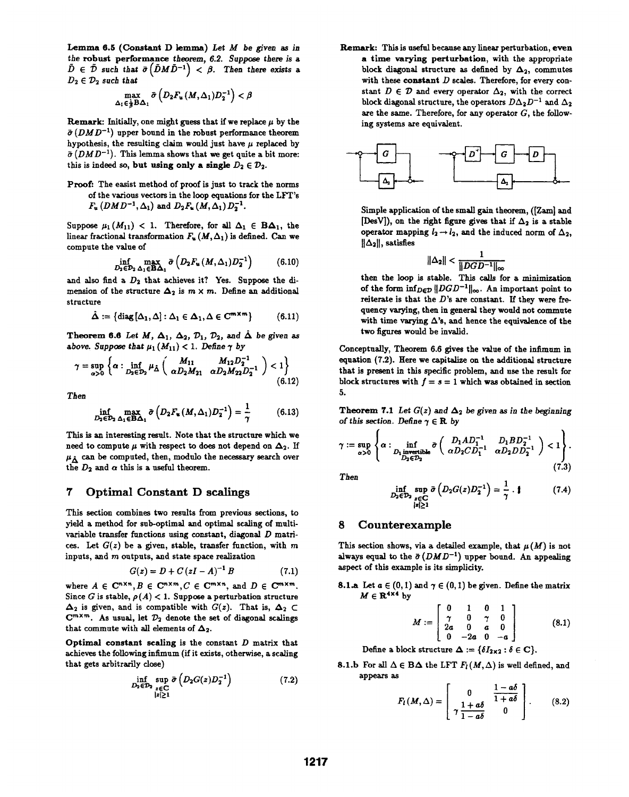Lemma 6.5 (Constant D lemma) Let  $M$  be given as in the robust performance theorem, 6.2. Suppose there is a  $\tilde{D} \in \tilde{D}$  such that  $\bar{\sigma}(\tilde{D}M\tilde{D}^{-1}) < \beta$ . Then there exists a  $D_2 \in \mathcal{D}_2$  such that

$$
\max_{\Delta_1 \in \frac{1}{\beta} \mathcal{B}\Delta_1} \bar{\sigma}\left(D_2 F_u\left(M, \Delta_1\right) D_2^{-1}\right) < \beta
$$

Remark: Initially, one might guess that if we replace  $\mu$  by the  $\bar{\sigma}$  (DMD<sup>-1</sup>) upper bound in the robust performance theorem hypothesis, the resulting claim would just have  $\mu$  replaced by  $\tilde{\sigma}$  (DMD<sup>-1</sup>). This lemma shows that we get quite a bit more: this is indeed so, but using only a single  $D_2 \in \mathcal{D}_2$ .

Proof: The easist method of proof is just to track the norms of the various vectors in the loop equations for the LFT's  $F_u (DMD^{-1}, \Delta_1)$  and  $D_2F_u (M, \Delta_1) D_2^{-1}$ .

Suppose  $\mu_1(M_{11}) < 1$ . Therefore, for all  $\Delta_1 \in \mathbf{B}\Delta_1$ , the linear fractional transformation  $F_u(M,\Delta_1)$  is defined. Can we compute the value of

$$
\inf_{D_2 \in \mathcal{D}_2} \max_{\Delta_1 \in \mathbf{BA}_1} \bar{\sigma} \left( D_2 F_u \left( M, \Delta_1 \right) D_2^{-1} \right) \tag{6.10}
$$

and also find a  $D_2$  that achieves it? Yes. Suppose the dimension of the structure  $\Delta_2$  is  $m \times m$ . Define an additional structure

$$
\hat{\Delta} := \{ \operatorname{diag} \left[ \Delta_1, \Delta \right] : \Delta_1 \in \Delta_1, \Delta \in \mathbb{C}^{m \times m} \} \tag{6.11}
$$

Theorem 6.6 Let M,  $\Delta_1$ ,  $\Delta_2$ ,  $\mathcal{D}_1$ ,  $\mathcal{D}_2$ , and  $\hat{\Delta}$  be given as above. Suppose that  $\mu_1 (M_{11}) < 1$ . Define  $\gamma$  by

$$
\gamma = \sup_{\alpha > 0} \left\{ \alpha : \inf_{D_2 \in \mathcal{D}_2} \mu_{\hat{\Delta}} \left( \begin{array}{cc} M_{11} & M_{12} D_2^{-1} \\ \alpha D_2 M_{21} & \alpha D_2 M_{22} D_2^{-1} \end{array} \right) < 1 \right\} \tag{6.12}
$$

Then

$$
\inf_{D_2 \in \mathcal{D}_2} \max_{\Delta_1 \in \mathbf{BA}_1} \bar{\sigma} \left( D_2 F_{\mathbf{w}} \left( M, \Delta_1 \right) D_2^{-1} \right) = \frac{1}{\gamma} \tag{6.13}
$$

This is an interesting result. Note that the structure which we need to compute  $\mu$  with respect to does not depend on  $\Delta_2$ . If  $\mu_{\hat{A}}$  can be computed, then, modulo the necessary search over the  $D_2$  and  $\alpha$  this is a useful theorem.

# <sup>7</sup> Optimal Constant D scalings

This section combines two results from previous sections, to yield a method for sub-optimal and optimal scaling of multivariable transfer functions using constant, diagonal  $D$  matrices. Let  $G(z)$  be a given, stable, transfer function, with  $m$ inputs, and m outputs, and state space realization

$$
G(z) = D + C(zI - A)^{-1} B \tag{7.1}
$$

where  $A \in \mathbb{C}^{n \times n}, B \in \mathbb{C}^{n \times m}, C \in \mathbb{C}^{m \times n},$  and  $D \in \mathbb{C}^{m \times m}$ . Since G is stable,  $\rho(A) < 1$ . Suppose a perturbation structure  $\Delta_2$  is given, and is compatible with  $G(z)$ . That is,  $\Delta_2 \subset$  $\mathbf{C}^{m \times m}$ . As usual, let  $\mathcal{D}_2$  denote the set of diagonal scalings that commute with all elements of  $\Delta_2$ .

Optimal constant scaling is the constant  $D$  matrix that achieves the following infimum (if it exists, otherwise, a scaling that gets arbitrarily close)

$$
\inf_{D_2 \in \mathcal{D}_2} \sup_{\substack{z \in \mathbf{C} \\ |z| \ge 1}} \bar{\sigma} \left( D_2 G(z) D_2^{-1} \right) \tag{7.2}
$$

Remark: This is useful because any linear perturbation, even a time varying perturbation, with the appropriate block diagonal structure as defined by  $\Delta_2$ , commutes with these constant  $D$  scales. Therefore, for every constant  $D \in \mathcal{D}$  and every operator  $\Delta_2$ , with the correct block diagonal structure, the operators  $D\Delta_2D^{-1}$  and  $\Delta_2$ are the same. Therefore, for any operator  $G$ , the following systems are equivalent.



Simple application of the small gain theorem, ([Zam] and [DesV]), on the right figure gives that if  $\Delta_2$  is a stable operator mapping  $l_2 \rightarrow l_2$ , and the induced norm of  $\Delta_2$ ,  $||\Delta_2||$ , satisfies

$$
\|\Delta_2\| < \frac{1}{\|DGD^{-1}\|_{\infty}}
$$

then the loop is stable. This calls for a minimization of the form  $\inf_{D \in \mathcal{D}} \| DGD^{-1} \|_{\infty}$ . An important point to reiterate is that the  $D$ 's are constant. If they were frequency varying, then in general they would not commute with time varying  $\Delta$ 's, and hence the equivalence of the two figures would be invalid.

Conceptually, Theorem 6.6 gives the value of the infimum in equation (7.2). Here we capitalize on the additional structure that is present in this specific problem, and use the result for block structures with  $f = s = 1$  which was obtained in section 5.

**Theorem 7.1** Let  $G(z)$  and  $\Delta_2$  be given as in the beginning of this section. Define  $\gamma \in \mathbf{R}$  by

$$
\gamma := \sup_{\alpha > 0} \left\{ \alpha : \inf_{\substack{D_1 \text{ invertible} \\ D_2 \in \mathcal{D}_2}} \bar{\sigma} \left( \begin{array}{cc} D_1 A D_1^{-1} & D_1 B D_2^{-1} \\ \alpha D_2 C D_1^{-1} & \alpha D_2 D D_2^{-1} \end{array} \right) < 1 \right\}.
$$
\n(7.3)

Then

$$
\inf_{D_2 \in \mathcal{D}_2} \sup_{\substack{z \in \mathbb{C} \\ |z| \ge 1}} \bar{\sigma} \left( D_2 G(z) D_2^{-1} \right) = \frac{1}{\gamma} \cdot \sharp \tag{7.4}
$$

## 8 Counterexample

This section shows, via a detailed example, that  $\mu(M)$  is not always equal to the  $\bar{\sigma}$  (DMD<sup>-1</sup>) upper bound. An appealing aspect of this example is its simplicity.

8.1.a Let  $a \in (0, 1)$  and  $\gamma \in (0, 1)$  be given. Define the matrix  $M \in \mathbb{R}^{4 \times 4}$  by

$$
M := \left[\begin{array}{cccc} 0 & 1 & 0 & 1 \\ \gamma & 0 & \gamma & 0 \\ 2a & 0 & a & 0 \\ 0 & -2a & 0 & -a \end{array}\right]
$$
 (8.1)

Define a block structure  $\Delta := \{\delta I_{2 \times 2} : \delta \in \mathbb{C}\}.$ 

8.1.b For all  $\Delta \in \mathbf{B}\Delta$  the LFT  $F_l(M,\Delta)$  is well defined, and appears as

$$
F_l(M,\Delta)=\left[\begin{array}{cc}0&\frac{1-a\delta}{1+a\delta}\\ \gamma\frac{1+a\delta}{1-a\delta}&0\end{array}\right].\qquad(8.2)
$$